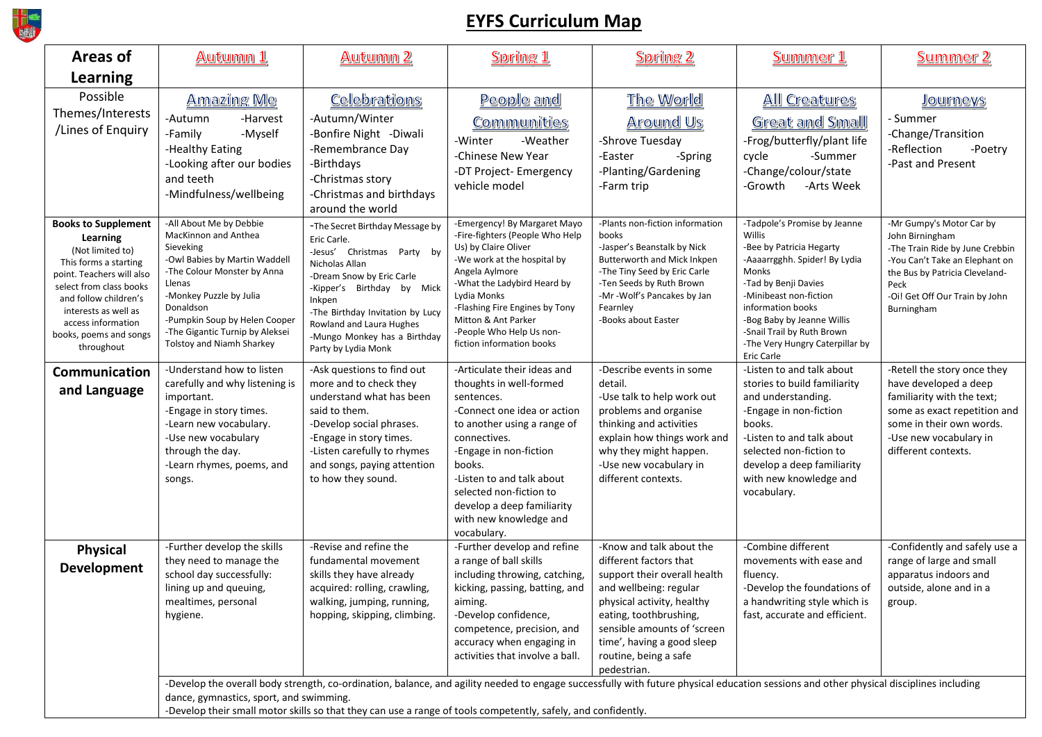

## **EYFS Curriculum Map**

| Areas of                                                                                                                                                                                                                                                   | <u>Autumn 1</u>                                                                                                                                                                                                                                                                 | Autumn 2                                                                                                                                                                                                                                                                                                                                                           | Spring 1                                                                                                                                                                                                                                                                                                              | Spring 2                                                                                                                                                                                                                                                                  | Summer 1                                                                                                                                                                                                                                                                                                | <u>Summer 2</u>                                                                                                                                                                                            |  |  |
|------------------------------------------------------------------------------------------------------------------------------------------------------------------------------------------------------------------------------------------------------------|---------------------------------------------------------------------------------------------------------------------------------------------------------------------------------------------------------------------------------------------------------------------------------|--------------------------------------------------------------------------------------------------------------------------------------------------------------------------------------------------------------------------------------------------------------------------------------------------------------------------------------------------------------------|-----------------------------------------------------------------------------------------------------------------------------------------------------------------------------------------------------------------------------------------------------------------------------------------------------------------------|---------------------------------------------------------------------------------------------------------------------------------------------------------------------------------------------------------------------------------------------------------------------------|---------------------------------------------------------------------------------------------------------------------------------------------------------------------------------------------------------------------------------------------------------------------------------------------------------|------------------------------------------------------------------------------------------------------------------------------------------------------------------------------------------------------------|--|--|
| Learning                                                                                                                                                                                                                                                   |                                                                                                                                                                                                                                                                                 |                                                                                                                                                                                                                                                                                                                                                                    |                                                                                                                                                                                                                                                                                                                       |                                                                                                                                                                                                                                                                           |                                                                                                                                                                                                                                                                                                         |                                                                                                                                                                                                            |  |  |
| Possible<br>Themes/Interests<br>/Lines of Enquiry                                                                                                                                                                                                          | Amazing Me<br>-Autumn<br>-Harvest<br>-Family<br>-Myself<br>-Healthy Eating<br>-Looking after our bodies<br>and teeth<br>-Mindfulness/wellbeing                                                                                                                                  | Celebrations<br>-Autumn/Winter<br>-Bonfire Night -Diwali<br>-Remembrance Day<br>-Birthdays<br>-Christmas story<br>-Christmas and birthdays<br>around the world                                                                                                                                                                                                     | People and<br>Communities<br>-Winter<br>-Weather<br>-Chinese New Year<br>-DT Project- Emergency<br>vehicle model                                                                                                                                                                                                      | The World<br>Around Us<br>-Shrove Tuesday<br>-Easter<br>-Spring<br>-Planting/Gardening<br>-Farm trip                                                                                                                                                                      | All Creatures<br>Great and Small<br>-Frog/butterfly/plant life<br>cycle<br>-Summer<br>-Change/colour/state<br>-Arts Week<br>-Growth                                                                                                                                                                     | Journeys<br>- Summer<br>-Change/Transition<br>-Reflection<br>-Poetry<br>-Past and Present                                                                                                                  |  |  |
| <b>Books to Supplement</b><br>Learning<br>(Not limited to)<br>This forms a starting<br>point. Teachers will also<br>select from class books<br>and follow children's<br>interests as well as<br>access information<br>books, poems and songs<br>throughout | -All About Me by Debbie<br>MacKinnon and Anthea<br>Sieveking<br>-Owl Babies by Martin Waddell<br>-The Colour Monster by Anna<br>Llenas<br>-Monkey Puzzle by Julia<br>Donaldson<br>-Pumpkin Soup by Helen Cooper<br>-The Gigantic Turnip by Aleksei<br>Tolstoy and Niamh Sharkey | -The Secret Birthday Message by<br>Eric Carle.<br>-Jesus' Christmas Party by<br>Nicholas Allan<br>-Dream Snow by Eric Carle<br>-Kipper's Birthday by Mick<br>Inkpen<br>-The Birthday Invitation by Lucy<br>Rowland and Laura Hughes<br>-Mungo Monkey has a Birthday<br>Party by Lydia Monk                                                                         | -Emergency! By Margaret Mayo<br>-Fire-fighters (People Who Help<br>Us) by Claire Oliver<br>-We work at the hospital by<br>Angela Aylmore<br>-What the Ladybird Heard by<br>Lydia Monks<br>-Flashing Fire Engines by Tony<br>Mitton & Ant Parker<br>-People Who Help Us non-<br>fiction information books              | -Plants non-fiction information<br>books<br>-Jasper's Beanstalk by Nick<br>Butterworth and Mick Inkpen<br>-The Tiny Seed by Eric Carle<br>-Ten Seeds by Ruth Brown<br>-Mr -Wolf's Pancakes by Jan<br>Fearnley<br>-Books about Easter                                      | -Tadpole's Promise by Jeanne<br>Willis<br>-Bee by Patricia Hegarty<br>-Aaaarrgghh. Spider! By Lydia<br>Monks<br>-Tad by Benji Davies<br>-Minibeast non-fiction<br>information books<br>-Bog Baby by Jeanne Willis<br>-Snail Trail by Ruth Brown<br>-The Very Hungry Caterpillar by<br><b>Eric Carle</b> | -Mr Gumpy's Motor Car by<br>John Birningham<br>-The Train Ride by June Crebbin<br>-You Can't Take an Elephant on<br>the Bus by Patricia Cleveland-<br>Peck<br>-Oi! Get Off Our Train by John<br>Burningham |  |  |
| <b>Communication</b><br>and Language                                                                                                                                                                                                                       | -Understand how to listen<br>carefully and why listening is<br>important.<br>-Engage in story times.<br>-Learn new vocabulary.<br>-Use new vocabulary<br>through the day.<br>-Learn rhymes, poems, and<br>songs.                                                                | -Ask questions to find out<br>more and to check they<br>understand what has been<br>said to them.<br>-Develop social phrases.<br>-Engage in story times.<br>-Listen carefully to rhymes<br>and songs, paying attention<br>to how they sound.                                                                                                                       | -Articulate their ideas and<br>thoughts in well-formed<br>sentences.<br>-Connect one idea or action<br>to another using a range of<br>connectives.<br>-Engage in non-fiction<br>books.<br>-Listen to and talk about<br>selected non-fiction to<br>develop a deep familiarity<br>with new knowledge and<br>vocabulary. | -Describe events in some<br>detail.<br>-Use talk to help work out<br>problems and organise<br>thinking and activities<br>explain how things work and<br>why they might happen.<br>-Use new vocabulary in<br>different contexts.                                           | -Listen to and talk about<br>stories to build familiarity<br>and understanding.<br>-Engage in non-fiction<br>books.<br>-Listen to and talk about<br>selected non-fiction to<br>develop a deep familiarity<br>with new knowledge and<br>vocabulary.                                                      | -Retell the story once they<br>have developed a deep<br>familiarity with the text;<br>some as exact repetition and<br>some in their own words.<br>-Use new vocabulary in<br>different contexts.            |  |  |
| <b>Physical</b><br>Development                                                                                                                                                                                                                             | -Further develop the skills<br>they need to manage the<br>school day successfully:<br>lining up and queuing,<br>mealtimes, personal<br>hygiene.                                                                                                                                 | -Revise and refine the<br>fundamental movement<br>skills they have already<br>acquired: rolling, crawling,<br>walking, jumping, running,<br>hopping, skipping, climbing.<br>-Develop the overall body strength, co-ordination, balance, and agility needed to engage successfully with future physical education sessions and other physical disciplines including | -Further develop and refine<br>a range of ball skills<br>including throwing, catching,<br>kicking, passing, batting, and<br>aiming.<br>-Develop confidence,<br>competence, precision, and<br>accuracy when engaging in<br>activities that involve a ball.                                                             | -Know and talk about the<br>different factors that<br>support their overall health<br>and wellbeing: regular<br>physical activity, healthy<br>eating, toothbrushing,<br>sensible amounts of 'screen<br>time', having a good sleep<br>routine, being a safe<br>pedestrian. | -Combine different<br>movements with ease and<br>fluency.<br>-Develop the foundations of<br>a handwriting style which is<br>fast, accurate and efficient.                                                                                                                                               | -Confidently and safely use a<br>range of large and small<br>apparatus indoors and<br>outside, alone and in a<br>group.                                                                                    |  |  |
|                                                                                                                                                                                                                                                            | dance, gymnastics, sport, and swimming.<br>-Develop their small motor skills so that they can use a range of tools competently, safely, and confidently.                                                                                                                        |                                                                                                                                                                                                                                                                                                                                                                    |                                                                                                                                                                                                                                                                                                                       |                                                                                                                                                                                                                                                                           |                                                                                                                                                                                                                                                                                                         |                                                                                                                                                                                                            |  |  |